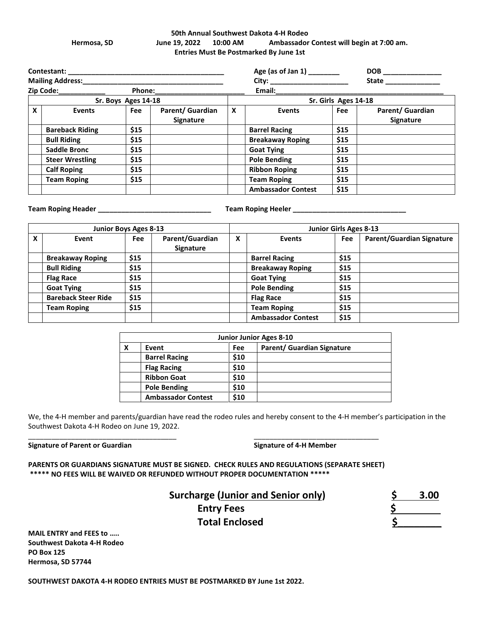#### **50th Annual Southwest Dakota 4-H Rodeo Hermosa, SD June 19, 2022 10:00 AM Ambassador Contest will begin at 7:00 am. Entries Must Be Postmarked By June 1st**

| <b>Contestant:</b> experience and a series of the series of the series of the series of the series of the series of the series of the series of the series of the series of the series of the series of the series of the series of |                        |      |                                      |   | Age (as of Jan 1) ________ |      |                                      |  |  |
|-------------------------------------------------------------------------------------------------------------------------------------------------------------------------------------------------------------------------------------|------------------------|------|--------------------------------------|---|----------------------------|------|--------------------------------------|--|--|
| <b>Mailing Address:</b> Mailing Address:                                                                                                                                                                                            |                        |      |                                      |   |                            |      | State _______________                |  |  |
| Zip Code: 2000<br>Phone:_________                                                                                                                                                                                                   |                        |      |                                      |   | Email: $\_\_\_\_\_\$       |      |                                      |  |  |
| Sr. Boys Ages 14-18                                                                                                                                                                                                                 |                        |      |                                      |   | Sr. Girls Ages 14-18       |      |                                      |  |  |
| X                                                                                                                                                                                                                                   | <b>Events</b>          | Fee  | Parent/ Guardian<br><b>Signature</b> | X | <b>Events</b>              | Fee  | Parent/ Guardian<br><b>Signature</b> |  |  |
|                                                                                                                                                                                                                                     | <b>Bareback Riding</b> | \$15 |                                      |   | <b>Barrel Racing</b>       | \$15 |                                      |  |  |
|                                                                                                                                                                                                                                     | <b>Bull Riding</b>     | \$15 |                                      |   | <b>Breakaway Roping</b>    | \$15 |                                      |  |  |
|                                                                                                                                                                                                                                     | <b>Saddle Bronc</b>    | \$15 |                                      |   | <b>Goat Tying</b>          | \$15 |                                      |  |  |
|                                                                                                                                                                                                                                     | <b>Steer Wrestling</b> | \$15 |                                      |   | <b>Pole Bending</b>        | \$15 |                                      |  |  |
|                                                                                                                                                                                                                                     | <b>Calf Roping</b>     | \$15 |                                      |   | <b>Ribbon Roping</b>       | \$15 |                                      |  |  |
|                                                                                                                                                                                                                                     | <b>Team Roping</b>     | \$15 |                                      |   | <b>Team Roping</b>         | \$15 |                                      |  |  |
|                                                                                                                                                                                                                                     |                        |      |                                      |   | <b>Ambassador Contest</b>  | \$15 |                                      |  |  |

**Team Roping Header \_\_\_\_\_\_\_\_\_\_\_\_\_\_\_\_\_\_\_\_\_\_\_\_\_\_\_\_\_ Team Roping Heeler \_\_\_\_\_\_\_\_\_\_\_\_\_\_\_\_\_\_\_\_\_\_\_\_\_\_\_\_\_**

|   | Junior Boys Ages 8-13      |            |                                     |   | <b>Junior Girls Ages 8-13</b> |      |                                  |  |
|---|----------------------------|------------|-------------------------------------|---|-------------------------------|------|----------------------------------|--|
| x | Event                      | <b>Fee</b> | Parent/Guardian<br><b>Signature</b> | X | <b>Events</b>                 | Fee  | <b>Parent/Guardian Signature</b> |  |
|   | <b>Breakaway Roping</b>    | \$15       |                                     |   | <b>Barrel Racing</b>          | \$15 |                                  |  |
|   | <b>Bull Riding</b>         | \$15       |                                     |   | <b>Breakaway Roping</b>       | \$15 |                                  |  |
|   | <b>Flag Race</b>           | \$15       |                                     |   | <b>Goat Tying</b>             | \$15 |                                  |  |
|   | <b>Goat Tying</b>          | \$15       |                                     |   | <b>Pole Bending</b>           | \$15 |                                  |  |
|   | <b>Bareback Steer Ride</b> | \$15       |                                     |   | <b>Flag Race</b>              | \$15 |                                  |  |
|   | Team Roping                | \$15       |                                     |   | <b>Team Roping</b>            | \$15 |                                  |  |
|   |                            |            |                                     |   | <b>Ambassador Contest</b>     | \$15 |                                  |  |

| <b>Junior Junior Ages 8-10</b> |                           |            |                                   |  |  |  |
|--------------------------------|---------------------------|------------|-----------------------------------|--|--|--|
| X                              | Event                     | <b>Fee</b> | <b>Parent/ Guardian Signature</b> |  |  |  |
|                                | <b>Barrel Racing</b>      | \$10       |                                   |  |  |  |
|                                | <b>Flag Racing</b>        | \$10       |                                   |  |  |  |
|                                | <b>Ribbon Goat</b>        | \$10       |                                   |  |  |  |
|                                | <b>Pole Bending</b>       | \$10       |                                   |  |  |  |
|                                | <b>Ambassador Contest</b> | \$10       |                                   |  |  |  |

We, the 4-H member and parents/guardian have read the rodeo rules and hereby consent to the 4-H member's participation in the Southwest Dakota 4-H Rodeo on June 19, 2022.

Signature of Parent or Guardian **Signature of 4-H Member** Signature of 4-H Member

**PARENTS OR GUARDIANS SIGNATURE MUST BE SIGNED. CHECK RULES AND REGULATIONS (SEPARATE SHEET) \*\*\*\*\* NO FEES WILL BE WAIVED OR REFUNDED WITHOUT PROPER DOCUMENTATION \*\*\*\*\***

\_\_\_\_\_\_\_\_\_\_\_\_\_\_\_\_\_\_\_\_\_\_\_\_\_\_\_\_\_\_\_\_\_\_\_\_\_\_ \_\_\_\_\_\_\_\_\_\_\_\_\_\_\_\_\_\_\_\_\_\_\_\_\_\_\_\_\_\_\_\_

## **Surcharge (<u>Junior and Senior only</u>) 5 3.00**<br>Entry Fees 5 Entry Fees **\$**

 **Total Enclosed \$\_\_\_\_\_\_\_\_** 

**MAIL ENTRY and FEES to ….. Southwest Dakota 4-H Rodeo PO Box 125 Hermosa, SD 57744**

**SOUTHWEST DAKOTA 4-H RODEO ENTRIES MUST BE POSTMARKED BY June 1st 2022.**